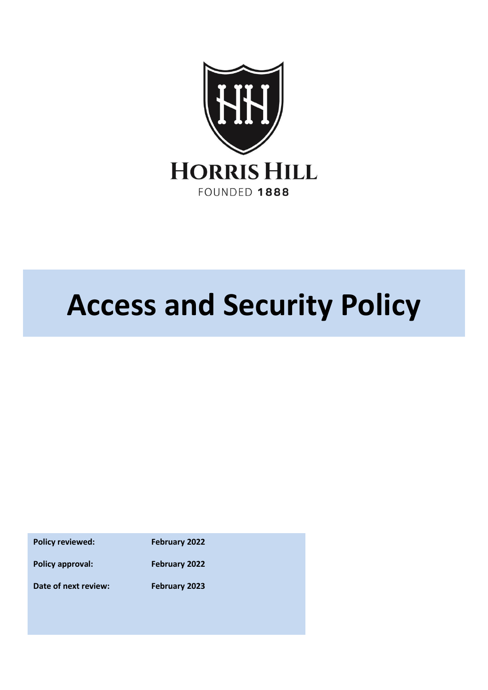

# **Access and Security Policy**

**Policy reviewed: February 2022**

**Policy approval: February 2022**

**Date of next review: February 2023**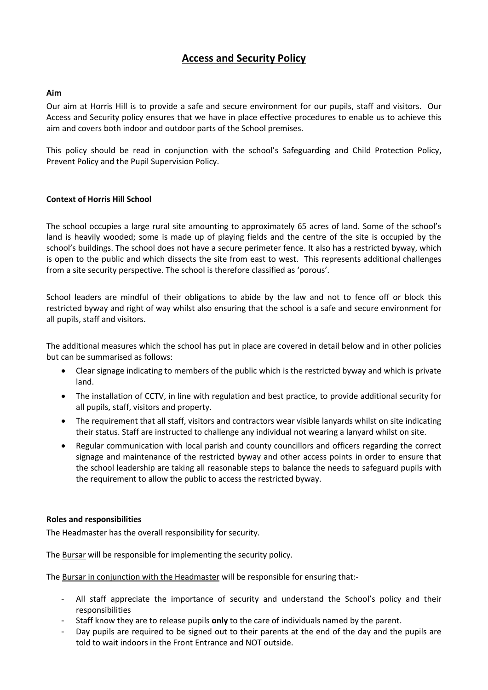# **Access and Security Policy**

# **Aim**

Our aim at Horris Hill is to provide a safe and secure environment for our pupils, staff and visitors. Our Access and Security policy ensures that we have in place effective procedures to enable us to achieve this aim and covers both indoor and outdoor parts of the School premises.

This policy should be read in conjunction with the school's Safeguarding and Child Protection Policy, Prevent Policy and the Pupil Supervision Policy.

# **Context of Horris Hill School**

The school occupies a large rural site amounting to approximately 65 acres of land. Some of the school's land is heavily wooded; some is made up of playing fields and the centre of the site is occupied by the school's buildings. The school does not have a secure perimeter fence. It also has a restricted byway, which is open to the public and which dissects the site from east to west. This represents additional challenges from a site security perspective. The school is therefore classified as 'porous'.

School leaders are mindful of their obligations to abide by the law and not to fence off or block this restricted byway and right of way whilst also ensuring that the school is a safe and secure environment for all pupils, staff and visitors.

The additional measures which the school has put in place are covered in detail below and in other policies but can be summarised as follows:

- Clear signage indicating to members of the public which is the restricted byway and which is private land.
- The installation of CCTV, in line with regulation and best practice, to provide additional security for all pupils, staff, visitors and property.
- The requirement that all staff, visitors and contractors wear visible lanyards whilst on site indicating their status. Staff are instructed to challenge any individual not wearing a lanyard whilst on site.
- Regular communication with local parish and county councillors and officers regarding the correct signage and maintenance of the restricted byway and other access points in order to ensure that the school leadership are taking all reasonable steps to balance the needs to safeguard pupils with the requirement to allow the public to access the restricted byway.

# **Roles and responsibilities**

The Headmaster has the overall responsibility for security.

The Bursar will be responsible for implementing the security policy.

The Bursar in conjunction with the Headmaster will be responsible for ensuring that:-

- All staff appreciate the importance of security and understand the School's policy and their responsibilities
- Staff know they are to release pupils **only** to the care of individuals named by the parent.
- Day pupils are required to be signed out to their parents at the end of the day and the pupils are told to wait indoors in the Front Entrance and NOT outside.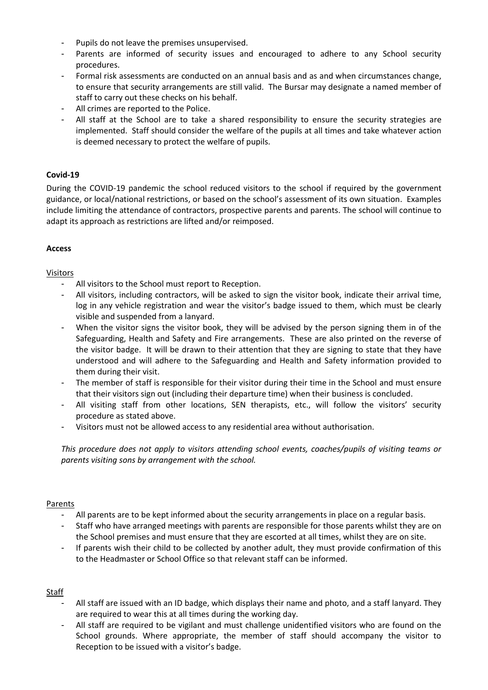- Pupils do not leave the premises unsupervised.
- Parents are informed of security issues and encouraged to adhere to any School security procedures.
- Formal risk assessments are conducted on an annual basis and as and when circumstances change, to ensure that security arrangements are still valid. The Bursar may designate a named member of staff to carry out these checks on his behalf.
- All crimes are reported to the Police.
- All staff at the School are to take a shared responsibility to ensure the security strategies are implemented. Staff should consider the welfare of the pupils at all times and take whatever action is deemed necessary to protect the welfare of pupils.

# **Covid-19**

During the COVID-19 pandemic the school reduced visitors to the school if required by the government guidance, or local/national restrictions, or based on the school's assessment of its own situation. Examples include limiting the attendance of contractors, prospective parents and parents. The school will continue to adapt its approach as restrictions are lifted and/or reimposed.

# **Access**

# Visitors

- All visitors to the School must report to Reception.
- All visitors, including contractors, will be asked to sign the visitor book, indicate their arrival time, log in any vehicle registration and wear the visitor's badge issued to them, which must be clearly visible and suspended from a lanyard.
- When the visitor signs the visitor book, they will be advised by the person signing them in of the Safeguarding, Health and Safety and Fire arrangements. These are also printed on the reverse of the visitor badge. It will be drawn to their attention that they are signing to state that they have understood and will adhere to the Safeguarding and Health and Safety information provided to them during their visit.
- The member of staff is responsible for their visitor during their time in the School and must ensure that their visitors sign out (including their departure time) when their business is concluded.
- All visiting staff from other locations, SEN therapists, etc., will follow the visitors' security procedure as stated above.
- Visitors must not be allowed access to any residential area without authorisation.

*This procedure does not apply to visitors attending school events, coaches/pupils of visiting teams or parents visiting sons by arrangement with the school.* 

# Parents

- All parents are to be kept informed about the security arrangements in place on a regular basis.
- Staff who have arranged meetings with parents are responsible for those parents whilst they are on the School premises and must ensure that they are escorted at all times, whilst they are on site.
- If parents wish their child to be collected by another adult, they must provide confirmation of this to the Headmaster or School Office so that relevant staff can be informed.

# Staff

- All staff are issued with an ID badge, which displays their name and photo, and a staff lanyard. They are required to wear this at all times during the working day.
- All staff are required to be vigilant and must challenge unidentified visitors who are found on the School grounds. Where appropriate, the member of staff should accompany the visitor to Reception to be issued with a visitor's badge.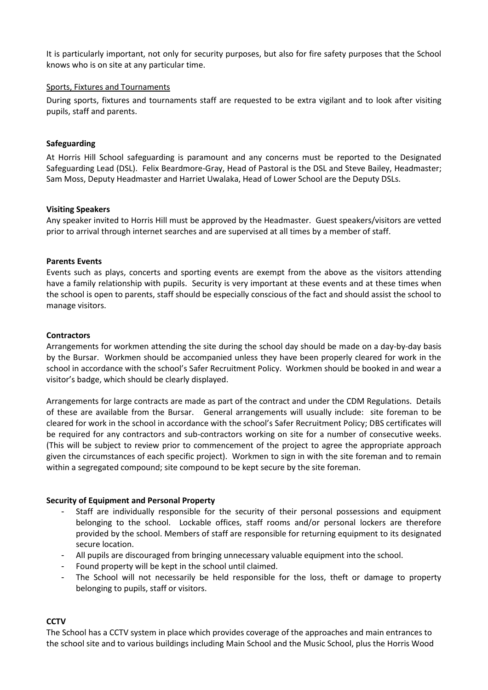It is particularly important, not only for security purposes, but also for fire safety purposes that the School knows who is on site at any particular time.

#### Sports, Fixtures and Tournaments

During sports, fixtures and tournaments staff are requested to be extra vigilant and to look after visiting pupils, staff and parents.

#### **Safeguarding**

At Horris Hill School safeguarding is paramount and any concerns must be reported to the Designated Safeguarding Lead (DSL). Felix Beardmore-Gray, Head of Pastoral is the DSL and Steve Bailey, Headmaster; Sam Moss, Deputy Headmaster and Harriet Uwalaka, Head of Lower School are the Deputy DSLs.

#### **Visiting Speakers**

Any speaker invited to Horris Hill must be approved by the Headmaster. Guest speakers/visitors are vetted prior to arrival through internet searches and are supervised at all times by a member of staff.

#### **Parents Events**

Events such as plays, concerts and sporting events are exempt from the above as the visitors attending have a family relationship with pupils. Security is very important at these events and at these times when the school is open to parents, staff should be especially conscious of the fact and should assist the school to manage visitors.

#### **Contractors**

Arrangements for workmen attending the site during the school day should be made on a day-by-day basis by the Bursar. Workmen should be accompanied unless they have been properly cleared for work in the school in accordance with the school's Safer Recruitment Policy. Workmen should be booked in and wear a visitor's badge, which should be clearly displayed.

Arrangements for large contracts are made as part of the contract and under the CDM Regulations. Details of these are available from the Bursar. General arrangements will usually include: site foreman to be cleared for work in the school in accordance with the school's Safer Recruitment Policy; DBS certificates will be required for any contractors and sub-contractors working on site for a number of consecutive weeks. (This will be subject to review prior to commencement of the project to agree the appropriate approach given the circumstances of each specific project). Workmen to sign in with the site foreman and to remain within a segregated compound; site compound to be kept secure by the site foreman.

# **Security of Equipment and Personal Property**

- Staff are individually responsible for the security of their personal possessions and equipment belonging to the school. Lockable offices, staff rooms and/or personal lockers are therefore provided by the school. Members of staff are responsible for returning equipment to its designated secure location.
- All pupils are discouraged from bringing unnecessary valuable equipment into the school.
- Found property will be kept in the school until claimed.
- The School will not necessarily be held responsible for the loss, theft or damage to property belonging to pupils, staff or visitors.

# **CCTV**

The School has a CCTV system in place which provides coverage of the approaches and main entrances to the school site and to various buildings including Main School and the Music School, plus the Horris Wood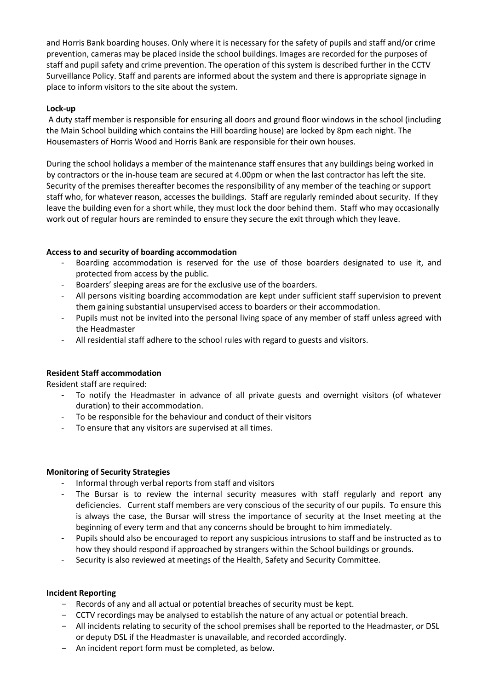and Horris Bank boarding houses. Only where it is necessary for the safety of pupils and staff and/or crime prevention, cameras may be placed inside the school buildings. Images are recorded for the purposes of staff and pupil safety and crime prevention. The operation of this system is described further in the CCTV Surveillance Policy. Staff and parents are informed about the system and there is appropriate signage in place to inform visitors to the site about the system.

# **Lock-up**

A duty staff member is responsible for ensuring all doors and ground floor windows in the school (including the Main School building which contains the Hill boarding house) are locked by 8pm each night. The Housemasters of Horris Wood and Horris Bank are responsible for their own houses.

During the school holidays a member of the maintenance staff ensures that any buildings being worked in by contractors or the in-house team are secured at 4.00pm or when the last contractor has left the site. Security of the premises thereafter becomes the responsibility of any member of the teaching or support staff who, for whatever reason, accesses the buildings. Staff are regularly reminded about security. If they leave the building even for a short while, they must lock the door behind them. Staff who may occasionally work out of regular hours are reminded to ensure they secure the exit through which they leave.

# **Access to and security of boarding accommodation**

- Boarding accommodation is reserved for the use of those boarders designated to use it, and protected from access by the public.
- Boarders' sleeping areas are for the exclusive use of the boarders.
- All persons visiting boarding accommodation are kept under sufficient staff supervision to prevent them gaining substantial unsupervised access to boarders or their accommodation.
- Pupils must not be invited into the personal living space of any member of staff unless agreed with the Headmaster
- All residential staff adhere to the school rules with regard to guests and visitors.

# **Resident Staff accommodation**

Resident staff are required:

- To notify the Headmaster in advance of all private guests and overnight visitors (of whatever duration) to their accommodation.
- To be responsible for the behaviour and conduct of their visitors
- To ensure that any visitors are supervised at all times.

# **Monitoring of Security Strategies**

- Informal through verbal reports from staff and visitors
- The Bursar is to review the internal security measures with staff regularly and report any deficiencies. Current staff members are very conscious of the security of our pupils. To ensure this is always the case, the Bursar will stress the importance of security at the Inset meeting at the beginning of every term and that any concerns should be brought to him immediately.
- Pupils should also be encouraged to report any suspicious intrusions to staff and be instructed as to how they should respond if approached by strangers within the School buildings or grounds.
- Security is also reviewed at meetings of the Health, Safety and Security Committee.

# **Incident Reporting**

- Records of any and all actual or potential breaches of security must be kept.
- CCTV recordings may be analysed to establish the nature of any actual or potential breach.
- All incidents relating to security of the school premises shall be reported to the Headmaster, or DSL or deputy DSL if the Headmaster is unavailable, and recorded accordingly.
- An incident report form must be completed, as below.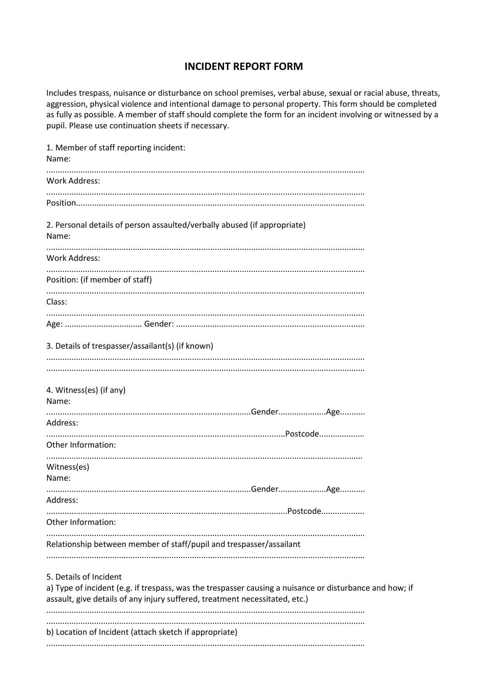# **INCIDENT REPORT FORM**

Includes trespass, nuisance or disturbance on school premises, verbal abuse, sexual or racial abuse, threats, aggression, physical violence and intentional damage to personal property. This form should be completed as fully as possible. A member of staff should complete the form for an incident involving or witnessed by a pupil. Please use continuation sheets if necessary.

| 1. Member of staff reporting incident:<br>Name:                                                                                                                                                                  |          |  |
|------------------------------------------------------------------------------------------------------------------------------------------------------------------------------------------------------------------|----------|--|
| Work Address:                                                                                                                                                                                                    |          |  |
|                                                                                                                                                                                                                  |          |  |
|                                                                                                                                                                                                                  |          |  |
| 2. Personal details of person assaulted/verbally abused (if appropriate)<br>Name:                                                                                                                                |          |  |
| <b>Work Address:</b>                                                                                                                                                                                             |          |  |
| Position: (if member of staff)                                                                                                                                                                                   |          |  |
| Class:                                                                                                                                                                                                           |          |  |
|                                                                                                                                                                                                                  |          |  |
| 3. Details of trespasser/assailant(s) (if known)                                                                                                                                                                 |          |  |
| 4. Witness(es) (if any)<br>Name:                                                                                                                                                                                 |          |  |
| Address:                                                                                                                                                                                                         |          |  |
| Other Information:                                                                                                                                                                                               |          |  |
| Witness(es)<br>Name:                                                                                                                                                                                             |          |  |
| Address:                                                                                                                                                                                                         |          |  |
| Other Information:                                                                                                                                                                                               | Postcode |  |
| Relationship between member of staff/pupil and trespasser/assailant                                                                                                                                              |          |  |
| 5. Details of Incident<br>a) Type of incident (e.g. if trespass, was the trespasser causing a nuisance or disturbance and how; if<br>assault, give details of any injury suffered, treatment necessitated, etc.) |          |  |
| b) Location of Incident (attach sketch if appropriate)                                                                                                                                                           |          |  |
|                                                                                                                                                                                                                  |          |  |